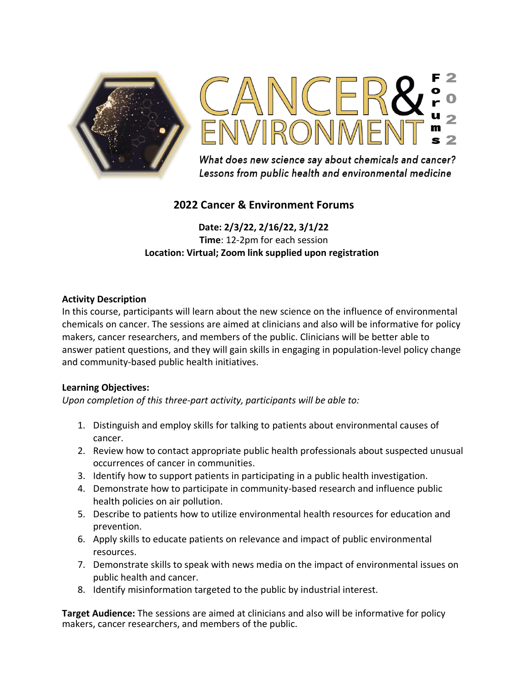



What does new science say about chemicals and cancer? Lessons from public health and environmental medicine

# **2022 Cancer & Environment Forums**

**Date: 2/3/22, 2/16/22, 3/1/22 Time**: 12-2pm for each session **Location: Virtual; Zoom link supplied upon registration** 

## **Activity Description**

In this course, participants will learn about the new science on the influence of environmental chemicals on cancer. The sessions are aimed at clinicians and also will be informative for policy makers, cancer researchers, and members of the public. Clinicians will be better able to answer patient questions, and they will gain skills in engaging in population-level policy change and community-based public health initiatives.

## **Learning Objectives:**

*Upon completion of this three-part activity, participants will be able to:* 

- 1. Distinguish and employ skills for talking to patients about environmental causes of cancer.
- 2. Review how to contact appropriate public health professionals about suspected unusual occurrences of cancer in communities.
- 3. Identify how to support patients in participating in a public health investigation.
- 4. Demonstrate how to participate in community-based research and influence public health policies on air pollution.
- 5. Describe to patients how to utilize environmental health resources for education and prevention.
- 6. Apply skills to educate patients on relevance and impact of public environmental resources.
- 7. Demonstrate skills to speak with news media on the impact of environmental issues on public health and cancer.
- 8. Identify misinformation targeted to the public by industrial interest.

**Target Audience:** The sessions are aimed at clinicians and also will be informative for policy makers, cancer researchers, and members of the public.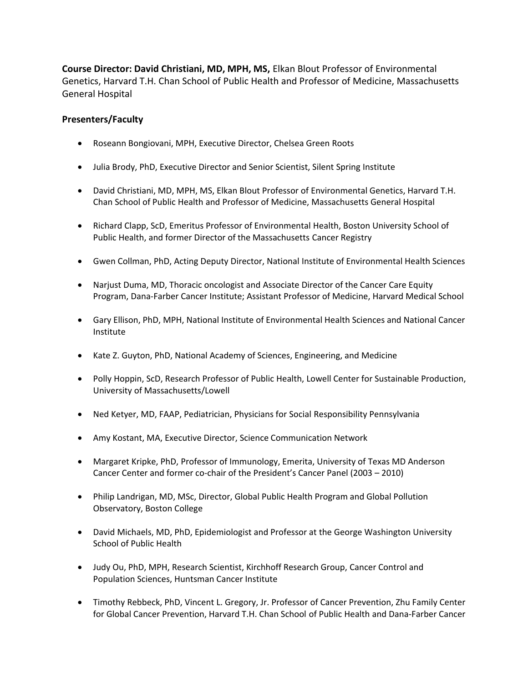**Course Director: David Christiani, MD, MPH, MS,** Elkan Blout Professor of Environmental Genetics, Harvard T.H. Chan School of Public Health and Professor of Medicine, Massachusetts General Hospital

## **Presenters/Faculty**

- Roseann Bongiovani, MPH, Executive Director, Chelsea Green Roots
- Julia Brody, PhD, Executive Director and Senior Scientist, Silent Spring Institute
- David Christiani, MD, MPH, MS, Elkan Blout Professor of Environmental Genetics, Harvard T.H. Chan School of Public Health and Professor of Medicine, Massachusetts General Hospital
- Richard Clapp, ScD, Emeritus Professor of Environmental Health, Boston University School of Public Health, and former Director of the Massachusetts Cancer Registry
- Gwen Collman, PhD, Acting Deputy Director, National Institute of Environmental Health Sciences
- Narjust Duma, MD, Thoracic oncologist and Associate Director of the Cancer Care Equity Program, Dana-Farber Cancer Institute; Assistant Professor of Medicine, Harvard Medical School
- Gary Ellison, PhD, MPH, National Institute of Environmental Health Sciences and National Cancer Institute
- Kate Z. Guyton, PhD, National Academy of Sciences, Engineering, and Medicine
- Polly Hoppin, ScD, Research Professor of Public Health, Lowell Center for Sustainable Production, University of Massachusetts/Lowell
- Ned Ketyer, MD, FAAP, Pediatrician, Physicians for Social Responsibility Pennsylvania
- Amy Kostant, MA, Executive Director, Science Communication Network
- Margaret Kripke, PhD, Professor of Immunology, Emerita, University of Texas MD Anderson Cancer Center and former co-chair of the President's Cancer Panel (2003 – 2010)
- Philip Landrigan, MD, MSc, Director, Global Public Health Program and Global Pollution Observatory, Boston College
- David Michaels, MD, PhD, Epidemiologist and Professor at the George Washington University School of Public Health
- Judy Ou, PhD, MPH, Research Scientist, Kirchhoff Research Group, Cancer Control and Population Sciences, Huntsman Cancer Institute
- Timothy Rebbeck, PhD, Vincent L. Gregory, Jr. Professor of Cancer Prevention, Zhu Family Center for Global Cancer Prevention, Harvard T.H. Chan School of Public Health and Dana-Farber Cancer